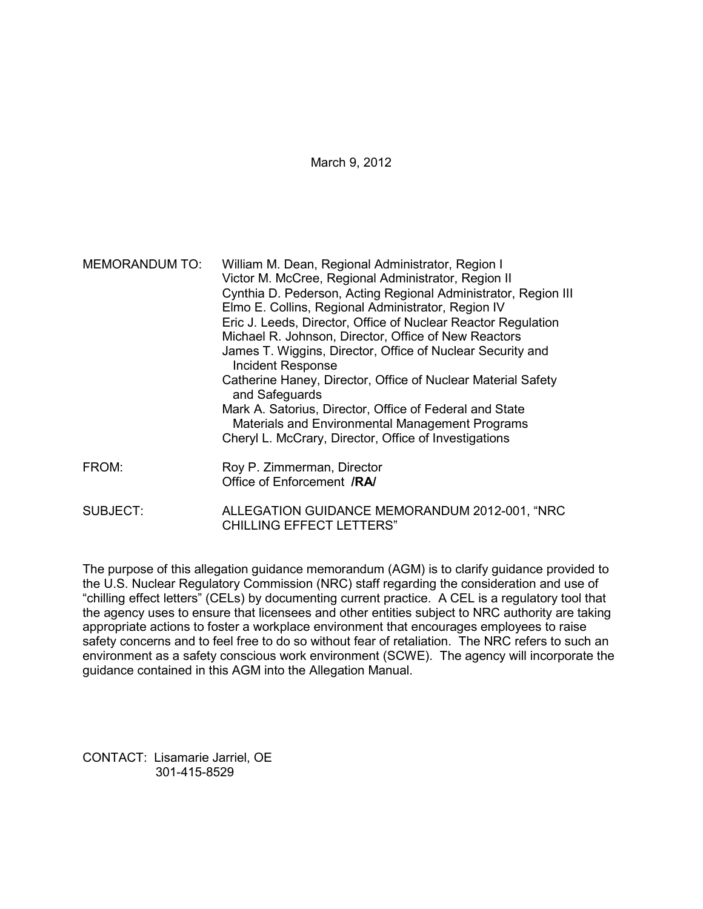| <b>MEMORANDUM TO:</b> | William M. Dean, Regional Administrator, Region I<br>Victor M. McCree, Regional Administrator, Region II<br>Cynthia D. Pederson, Acting Regional Administrator, Region III<br>Elmo E. Collins, Regional Administrator, Region IV<br>Eric J. Leeds, Director, Office of Nuclear Reactor Regulation<br>Michael R. Johnson, Director, Office of New Reactors<br>James T. Wiggins, Director, Office of Nuclear Security and<br><b>Incident Response</b><br>Catherine Haney, Director, Office of Nuclear Material Safety<br>and Safeguards<br>Mark A. Satorius, Director, Office of Federal and State<br>Materials and Environmental Management Programs<br>Cheryl L. McCrary, Director, Office of Investigations |
|-----------------------|--------------------------------------------------------------------------------------------------------------------------------------------------------------------------------------------------------------------------------------------------------------------------------------------------------------------------------------------------------------------------------------------------------------------------------------------------------------------------------------------------------------------------------------------------------------------------------------------------------------------------------------------------------------------------------------------------------------|
| FROM:                 | Roy P. Zimmerman, Director<br>Office of Enforcement /RA/                                                                                                                                                                                                                                                                                                                                                                                                                                                                                                                                                                                                                                                     |

SUBJECT: ALLEGATION GUIDANCE MEMORANDUM 2012-001, "NRC CHILLING EFFECT LETTERS"

The purpose of this allegation guidance memorandum (AGM) is to clarify guidance provided to the U.S. Nuclear Regulatory Commission (NRC) staff regarding the consideration and use of "chilling effect letters" (CELs) by documenting current practice. A CEL is a regulatory tool that the agency uses to ensure that licensees and other entities subject to NRC authority are taking appropriate actions to foster a workplace environment that encourages employees to raise safety concerns and to feel free to do so without fear of retaliation. The NRC refers to such an environment as a safety conscious work environment (SCWE). The agency will incorporate the guidance contained in this AGM into the Allegation Manual.

CONTACT: Lisamarie Jarriel, OE 301-415-8529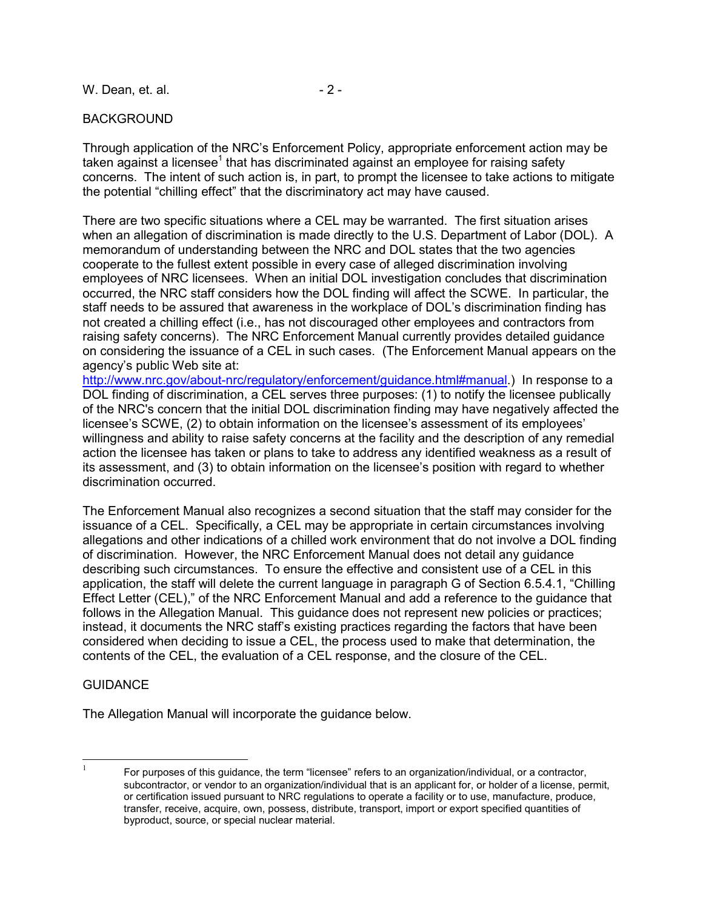W. Dean, et. al. 2 -

# BACKGROUND

Through application of the NRC's Enforcement Policy, appropriate enforcement action may be taken against a licensee<sup>1</sup> that has discriminated against an employee for raising safety concerns. The intent of such action is, in part, to prompt the licensee to take actions to mitigate the potential "chilling effect" that the discriminatory act may have caused.

There are two specific situations where a CEL may be warranted. The first situation arises when an allegation of discrimination is made directly to the U.S. Department of Labor (DOL). A memorandum of understanding between the NRC and DOL states that the two agencies cooperate to the fullest extent possible in every case of alleged discrimination involving employees of NRC licensees. When an initial DOL investigation concludes that discrimination occurred, the NRC staff considers how the DOL finding will affect the SCWE. In particular, the staff needs to be assured that awareness in the workplace of DOL's discrimination finding has not created a chilling effect (i.e., has not discouraged other employees and contractors from raising safety concerns). The NRC Enforcement Manual currently provides detailed guidance on considering the issuance of a CEL in such cases. (The Enforcement Manual appears on the agency's public Web site at:

http://www.nrc.gov/about-nrc/regulatory/enforcement/guidance.html#manual.) In response to a DOL finding of discrimination, a CEL serves three purposes: (1) to notify the licensee publically of the NRC's concern that the initial DOL discrimination finding may have negatively affected the licensee's SCWE, (2) to obtain information on the licensee's assessment of its employees' willingness and ability to raise safety concerns at the facility and the description of any remedial action the licensee has taken or plans to take to address any identified weakness as a result of its assessment, and (3) to obtain information on the licensee's position with regard to whether discrimination occurred.

The Enforcement Manual also recognizes a second situation that the staff may consider for the issuance of a CEL. Specifically, a CEL may be appropriate in certain circumstances involving allegations and other indications of a chilled work environment that do not involve a DOL finding of discrimination. However, the NRC Enforcement Manual does not detail any guidance describing such circumstances. To ensure the effective and consistent use of a CEL in this application, the staff will delete the current language in paragraph G of Section 6.5.4.1, "Chilling Effect Letter (CEL)," of the NRC Enforcement Manual and add a reference to the guidance that follows in the Allegation Manual. This guidance does not represent new policies or practices; instead, it documents the NRC staff's existing practices regarding the factors that have been considered when deciding to issue a CEL, the process used to make that determination, the contents of the CEL, the evaluation of a CEL response, and the closure of the CEL.

### **GUIDANCE**

The Allegation Manual will incorporate the guidance below.

 $\frac{1}{1}$  For purposes of this guidance, the term "licensee" refers to an organization/individual, or a contractor, subcontractor, or vendor to an organization/individual that is an applicant for, or holder of a license, permit, or certification issued pursuant to NRC regulations to operate a facility or to use, manufacture, produce, transfer, receive, acquire, own, possess, distribute, transport, import or export specified quantities of byproduct, source, or special nuclear material.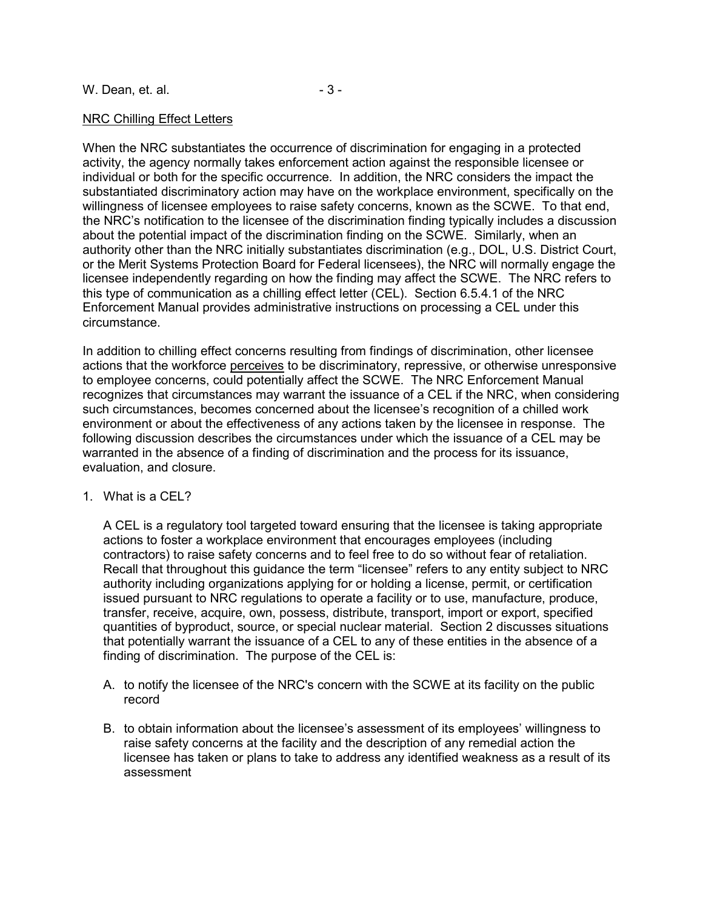# NRC Chilling Effect Letters

When the NRC substantiates the occurrence of discrimination for engaging in a protected activity, the agency normally takes enforcement action against the responsible licensee or individual or both for the specific occurrence. In addition, the NRC considers the impact the substantiated discriminatory action may have on the workplace environment, specifically on the willingness of licensee employees to raise safety concerns, known as the SCWE. To that end, the NRC's notification to the licensee of the discrimination finding typically includes a discussion about the potential impact of the discrimination finding on the SCWE. Similarly, when an authority other than the NRC initially substantiates discrimination (e.g., DOL, U.S. District Court, or the Merit Systems Protection Board for Federal licensees), the NRC will normally engage the licensee independently regarding on how the finding may affect the SCWE. The NRC refers to this type of communication as a chilling effect letter (CEL). Section 6.5.4.1 of the NRC Enforcement Manual provides administrative instructions on processing a CEL under this circumstance.

In addition to chilling effect concerns resulting from findings of discrimination, other licensee actions that the workforce perceives to be discriminatory, repressive, or otherwise unresponsive to employee concerns, could potentially affect the SCWE. The NRC Enforcement Manual recognizes that circumstances may warrant the issuance of a CEL if the NRC, when considering such circumstances, becomes concerned about the licensee's recognition of a chilled work environment or about the effectiveness of any actions taken by the licensee in response. The following discussion describes the circumstances under which the issuance of a CEL may be warranted in the absence of a finding of discrimination and the process for its issuance, evaluation, and closure.

### 1. What is a CEL?

A CEL is a regulatory tool targeted toward ensuring that the licensee is taking appropriate actions to foster a workplace environment that encourages employees (including contractors) to raise safety concerns and to feel free to do so without fear of retaliation. Recall that throughout this guidance the term "licensee" refers to any entity subject to NRC authority including organizations applying for or holding a license, permit, or certification issued pursuant to NRC regulations to operate a facility or to use, manufacture, produce, transfer, receive, acquire, own, possess, distribute, transport, import or export, specified quantities of byproduct, source, or special nuclear material. Section 2 discusses situations that potentially warrant the issuance of a CEL to any of these entities in the absence of a finding of discrimination. The purpose of the CEL is:

- A. to notify the licensee of the NRC's concern with the SCWE at its facility on the public record
- B. to obtain information about the licensee's assessment of its employees' willingness to raise safety concerns at the facility and the description of any remedial action the licensee has taken or plans to take to address any identified weakness as a result of its assessment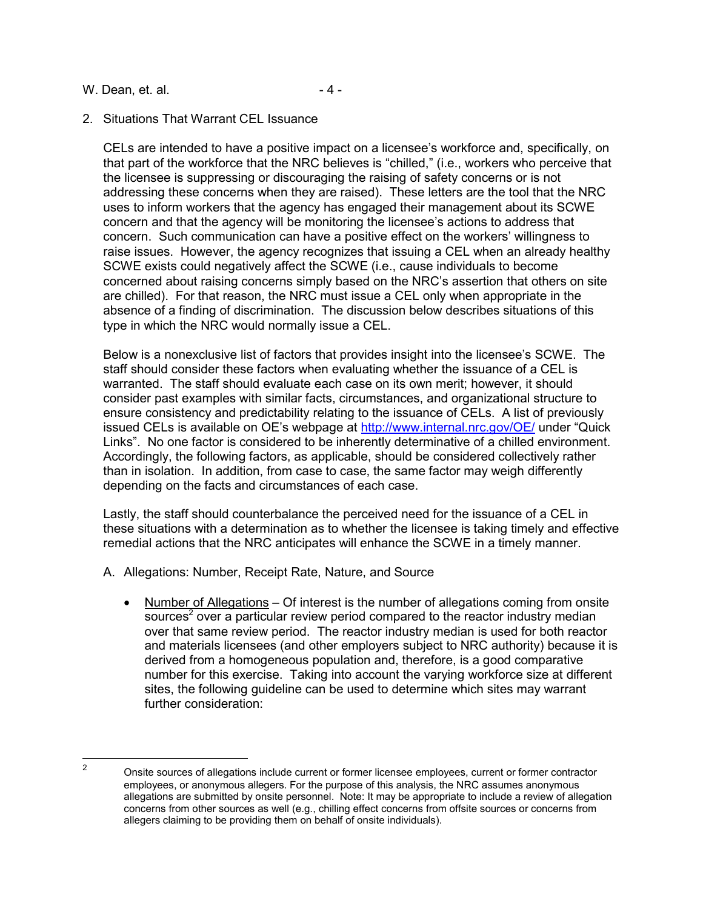#### W. Dean, et. al. 2004. The same state of  $\sim$  4 -

# 2. Situations That Warrant CEL Issuance

CELs are intended to have a positive impact on a licensee's workforce and, specifically, on that part of the workforce that the NRC believes is "chilled," (i.e., workers who perceive that the licensee is suppressing or discouraging the raising of safety concerns or is not addressing these concerns when they are raised). These letters are the tool that the NRC uses to inform workers that the agency has engaged their management about its SCWE concern and that the agency will be monitoring the licensee's actions to address that concern. Such communication can have a positive effect on the workers' willingness to raise issues. However, the agency recognizes that issuing a CEL when an already healthy SCWE exists could negatively affect the SCWE (i.e., cause individuals to become concerned about raising concerns simply based on the NRC's assertion that others on site are chilled). For that reason, the NRC must issue a CEL only when appropriate in the absence of a finding of discrimination. The discussion below describes situations of this type in which the NRC would normally issue a CEL.

Below is a nonexclusive list of factors that provides insight into the licensee's SCWE. The staff should consider these factors when evaluating whether the issuance of a CEL is warranted. The staff should evaluate each case on its own merit; however, it should consider past examples with similar facts, circumstances, and organizational structure to ensure consistency and predictability relating to the issuance of CELs. A list of previously issued CELs is available on OE's webpage at http://www.internal.nrc.gov/OE/ under "Quick Links". No one factor is considered to be inherently determinative of a chilled environment. Accordingly, the following factors, as applicable, should be considered collectively rather than in isolation. In addition, from case to case, the same factor may weigh differently depending on the facts and circumstances of each case.

Lastly, the staff should counterbalance the perceived need for the issuance of a CEL in these situations with a determination as to whether the licensee is taking timely and effective remedial actions that the NRC anticipates will enhance the SCWE in a timely manner.

- A. Allegations: Number, Receipt Rate, Nature, and Source
	- Number of Allegations Of interest is the number of allegations coming from onsite  $\overline{s}$ over a particular review period compared to the reactor industry median over that same review period. The reactor industry median is used for both reactor and materials licensees (and other employers subject to NRC authority) because it is derived from a homogeneous population and, therefore, is a good comparative number for this exercise. Taking into account the varying workforce size at different sites, the following guideline can be used to determine which sites may warrant further consideration:

 $\frac{1}{2}$ 

Onsite sources of allegations include current or former licensee employees, current or former contractor employees, or anonymous allegers. For the purpose of this analysis, the NRC assumes anonymous allegations are submitted by onsite personnel. Note: It may be appropriate to include a review of allegation concerns from other sources as well (e.g., chilling effect concerns from offsite sources or concerns from allegers claiming to be providing them on behalf of onsite individuals).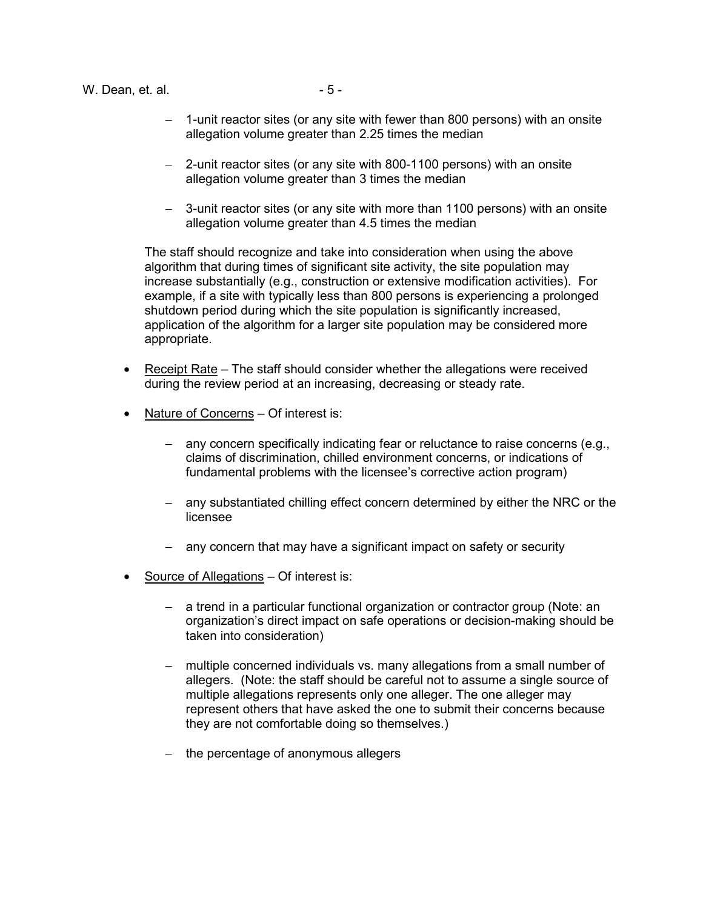W. Dean, et. al. 2008. The same state of  $-5 - 5$ 

- 1-unit reactor sites (or any site with fewer than 800 persons) with an onsite allegation volume greater than 2.25 times the median
- − 2-unit reactor sites (or any site with 800-1100 persons) with an onsite allegation volume greater than 3 times the median
- − 3-unit reactor sites (or any site with more than 1100 persons) with an onsite allegation volume greater than 4.5 times the median

The staff should recognize and take into consideration when using the above algorithm that during times of significant site activity, the site population may increase substantially (e.g., construction or extensive modification activities). For example, if a site with typically less than 800 persons is experiencing a prolonged shutdown period during which the site population is significantly increased, application of the algorithm for a larger site population may be considered more appropriate.

- Receipt Rate The staff should consider whether the allegations were received during the review period at an increasing, decreasing or steady rate.
- Nature of Concerns Of interest is:
	- − any concern specifically indicating fear or reluctance to raise concerns (e.g., claims of discrimination, chilled environment concerns, or indications of fundamental problems with the licensee's corrective action program)
	- − any substantiated chilling effect concern determined by either the NRC or the licensee
	- − any concern that may have a significant impact on safety or security
- Source of Allegations Of interest is:
	- − a trend in a particular functional organization or contractor group (Note: an organization's direct impact on safe operations or decision-making should be taken into consideration)
	- − multiple concerned individuals vs. many allegations from a small number of allegers. (Note: the staff should be careful not to assume a single source of multiple allegations represents only one alleger. The one alleger may represent others that have asked the one to submit their concerns because they are not comfortable doing so themselves.)
	- − the percentage of anonymous allegers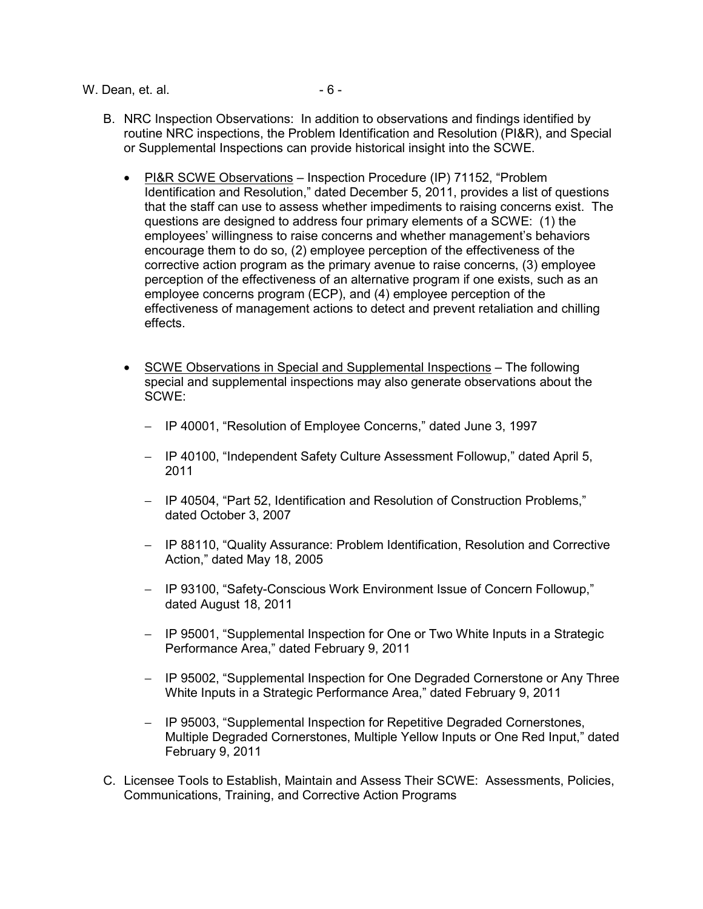W. Dean, et. al. 2008. The contract of the set of  $\sim$  6 -

- B. NRC Inspection Observations: In addition to observations and findings identified by routine NRC inspections, the Problem Identification and Resolution (PI&R), and Special or Supplemental Inspections can provide historical insight into the SCWE.
	- PI&R SCWE Observations Inspection Procedure (IP) 71152, "Problem Identification and Resolution," dated December 5, 2011, provides a list of questions that the staff can use to assess whether impediments to raising concerns exist. The questions are designed to address four primary elements of a SCWE: (1) the employees' willingness to raise concerns and whether management's behaviors encourage them to do so, (2) employee perception of the effectiveness of the corrective action program as the primary avenue to raise concerns, (3) employee perception of the effectiveness of an alternative program if one exists, such as an employee concerns program (ECP), and (4) employee perception of the effectiveness of management actions to detect and prevent retaliation and chilling effects.
	- SCWE Observations in Special and Supplemental Inspections The following special and supplemental inspections may also generate observations about the SCWE:
		- − IP 40001, "Resolution of Employee Concerns," dated June 3, 1997
		- − IP 40100, "Independent Safety Culture Assessment Followup," dated April 5, 2011
		- − IP 40504, "Part 52, Identification and Resolution of Construction Problems," dated October 3, 2007
		- − IP 88110, "Quality Assurance: Problem Identification, Resolution and Corrective Action," dated May 18, 2005
		- − IP 93100, "Safety-Conscious Work Environment Issue of Concern Followup," dated August 18, 2011
		- − IP 95001, "Supplemental Inspection for One or Two White Inputs in a Strategic Performance Area," dated February 9, 2011
		- − IP 95002, "Supplemental Inspection for One Degraded Cornerstone or Any Three White Inputs in a Strategic Performance Area," dated February 9, 2011
		- − IP 95003, "Supplemental Inspection for Repetitive Degraded Cornerstones, Multiple Degraded Cornerstones, Multiple Yellow Inputs or One Red Input," dated February 9, 2011
- C. Licensee Tools to Establish, Maintain and Assess Their SCWE: Assessments, Policies, Communications, Training, and Corrective Action Programs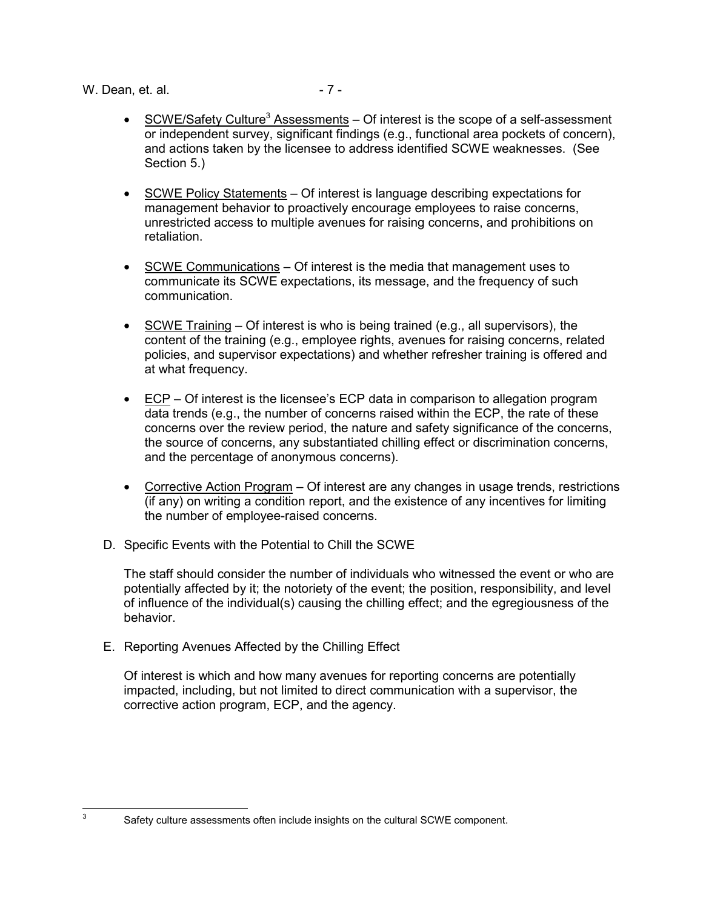W. Dean, et. al. 2004 - 7 - 2006

- SCWE/Safety Culture<sup>3</sup> Assessments  $-$  Of interest is the scope of a self-assessment or independent survey, significant findings (e.g., functional area pockets of concern), and actions taken by the licensee to address identified SCWE weaknesses. (See Section 5.)
- SCWE Policy Statements Of interest is language describing expectations for management behavior to proactively encourage employees to raise concerns, unrestricted access to multiple avenues for raising concerns, and prohibitions on retaliation.
- SCWE Communications Of interest is the media that management uses to communicate its SCWE expectations, its message, and the frequency of such communication.
- SCWE Training Of interest is who is being trained (e.g., all supervisors), the content of the training (e.g., employee rights, avenues for raising concerns, related policies, and supervisor expectations) and whether refresher training is offered and at what frequency.
- $\bullet$  ECP Of interest is the licensee's ECP data in comparison to allegation program data trends (e.g., the number of concerns raised within the ECP, the rate of these concerns over the review period, the nature and safety significance of the concerns, the source of concerns, any substantiated chilling effect or discrimination concerns, and the percentage of anonymous concerns).
- Corrective Action Program Of interest are any changes in usage trends, restrictions (if any) on writing a condition report, and the existence of any incentives for limiting the number of employee-raised concerns.
- D. Specific Events with the Potential to Chill the SCWE

The staff should consider the number of individuals who witnessed the event or who are potentially affected by it; the notoriety of the event; the position, responsibility, and level of influence of the individual(s) causing the chilling effect; and the egregiousness of the behavior.

E. Reporting Avenues Affected by the Chilling Effect

Of interest is which and how many avenues for reporting concerns are potentially impacted, including, but not limited to direct communication with a supervisor, the corrective action program, ECP, and the agency.

<sup>-&</sup>lt;br>3

Safety culture assessments often include insights on the cultural SCWE component.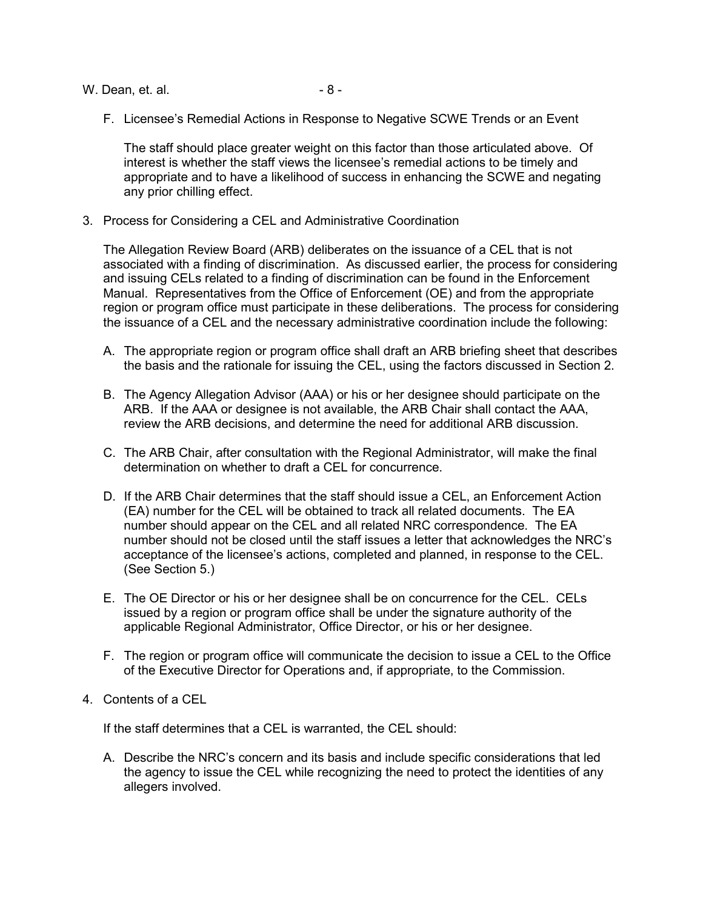W. Dean, et. al. 2008. The same state of  $\sim$  8 -

F. Licensee's Remedial Actions in Response to Negative SCWE Trends or an Event

The staff should place greater weight on this factor than those articulated above. Of interest is whether the staff views the licensee's remedial actions to be timely and appropriate and to have a likelihood of success in enhancing the SCWE and negating any prior chilling effect.

3. Process for Considering a CEL and Administrative Coordination

The Allegation Review Board (ARB) deliberates on the issuance of a CEL that is not associated with a finding of discrimination. As discussed earlier, the process for considering and issuing CELs related to a finding of discrimination can be found in the Enforcement Manual. Representatives from the Office of Enforcement (OE) and from the appropriate region or program office must participate in these deliberations. The process for considering the issuance of a CEL and the necessary administrative coordination include the following:

- A. The appropriate region or program office shall draft an ARB briefing sheet that describes the basis and the rationale for issuing the CEL, using the factors discussed in Section 2.
- B. The Agency Allegation Advisor (AAA) or his or her designee should participate on the ARB. If the AAA or designee is not available, the ARB Chair shall contact the AAA, review the ARB decisions, and determine the need for additional ARB discussion.
- C. The ARB Chair, after consultation with the Regional Administrator, will make the final determination on whether to draft a CEL for concurrence.
- D. If the ARB Chair determines that the staff should issue a CEL, an Enforcement Action (EA) number for the CEL will be obtained to track all related documents. The EA number should appear on the CEL and all related NRC correspondence. The EA number should not be closed until the staff issues a letter that acknowledges the NRC's acceptance of the licensee's actions, completed and planned, in response to the CEL. (See Section 5.)
- E. The OE Director or his or her designee shall be on concurrence for the CEL. CELs issued by a region or program office shall be under the signature authority of the applicable Regional Administrator, Office Director, or his or her designee.
- F. The region or program office will communicate the decision to issue a CEL to the Office of the Executive Director for Operations and, if appropriate, to the Commission.
- 4. Contents of a CEL

If the staff determines that a CEL is warranted, the CEL should:

A. Describe the NRC's concern and its basis and include specific considerations that led the agency to issue the CEL while recognizing the need to protect the identities of any allegers involved.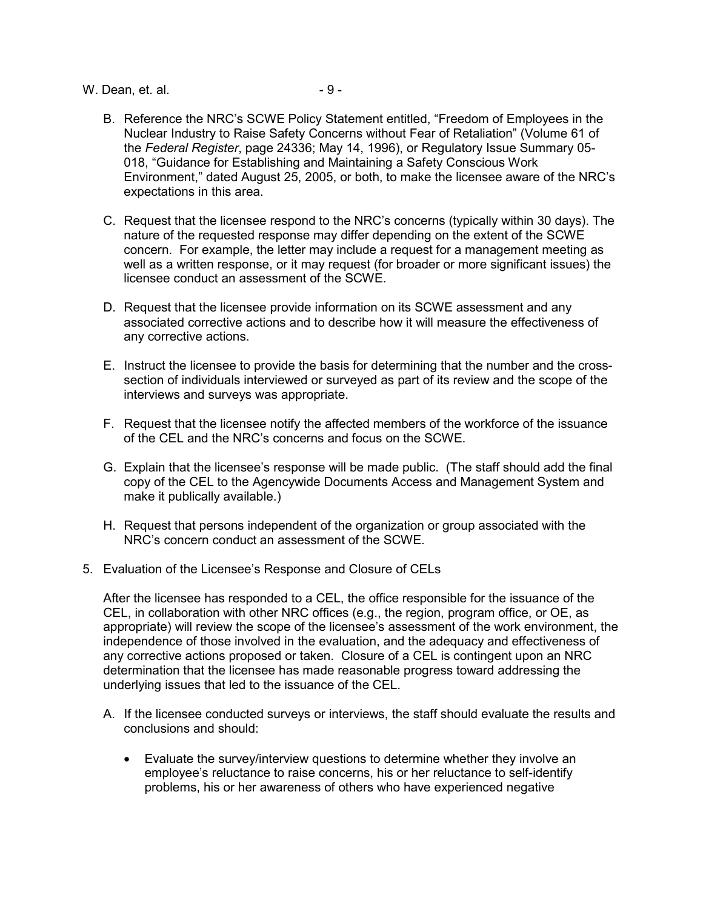W. Dean, et. al. - 9 -

- B. Reference the NRC's SCWE Policy Statement entitled, "Freedom of Employees in the Nuclear Industry to Raise Safety Concerns without Fear of Retaliation" (Volume 61 of the *Federal Register*, page 24336; May 14, 1996), or Regulatory Issue Summary 05- 018, "Guidance for Establishing and Maintaining a Safety Conscious Work Environment," dated August 25, 2005, or both, to make the licensee aware of the NRC's expectations in this area.
- C. Request that the licensee respond to the NRC's concerns (typically within 30 days). The nature of the requested response may differ depending on the extent of the SCWE concern. For example, the letter may include a request for a management meeting as well as a written response, or it may request (for broader or more significant issues) the licensee conduct an assessment of the SCWE.
- D. Request that the licensee provide information on its SCWE assessment and any associated corrective actions and to describe how it will measure the effectiveness of any corrective actions.
- E. Instruct the licensee to provide the basis for determining that the number and the crosssection of individuals interviewed or surveyed as part of its review and the scope of the interviews and surveys was appropriate.
- F. Request that the licensee notify the affected members of the workforce of the issuance of the CEL and the NRC's concerns and focus on the SCWE.
- G. Explain that the licensee's response will be made public. (The staff should add the final copy of the CEL to the Agencywide Documents Access and Management System and make it publically available.)
- H. Request that persons independent of the organization or group associated with the NRC's concern conduct an assessment of the SCWE.
- 5. Evaluation of the Licensee's Response and Closure of CELs

After the licensee has responded to a CEL, the office responsible for the issuance of the CEL, in collaboration with other NRC offices (e.g., the region, program office, or OE, as appropriate) will review the scope of the licensee's assessment of the work environment, the independence of those involved in the evaluation, and the adequacy and effectiveness of any corrective actions proposed or taken. Closure of a CEL is contingent upon an NRC determination that the licensee has made reasonable progress toward addressing the underlying issues that led to the issuance of the CEL.

- A. If the licensee conducted surveys or interviews, the staff should evaluate the results and conclusions and should:
	- Evaluate the survey/interview questions to determine whether they involve an employee's reluctance to raise concerns, his or her reluctance to self-identify problems, his or her awareness of others who have experienced negative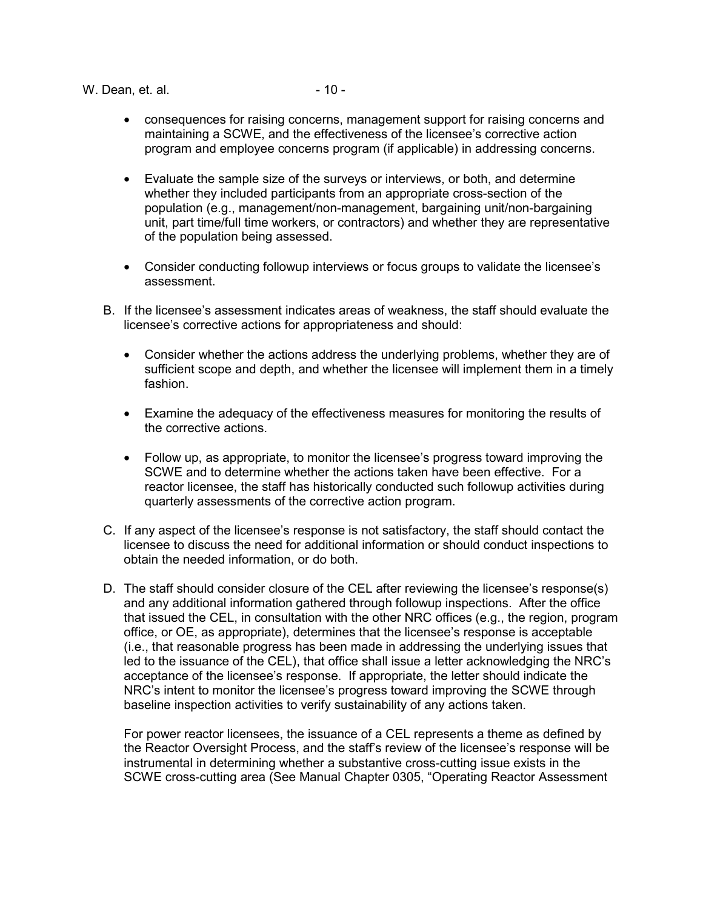W. Dean, et. al. 2004 - 10 - 2004 - 2004 - 2004 - 2004 - 2004 - 2004 - 2004 - 2004 - 2004 - 2004 - 2004 - 2004 - 2004 - 2005 - 2006 - 2006 - 2006 - 2006 - 2006 - 2006 - 2006 - 2006 - 2007 - 2006 - 2007 - 2006 - 2007 - 2007

- consequences for raising concerns, management support for raising concerns and maintaining a SCWE, and the effectiveness of the licensee's corrective action program and employee concerns program (if applicable) in addressing concerns.
- Evaluate the sample size of the surveys or interviews, or both, and determine whether they included participants from an appropriate cross-section of the population (e.g., management/non-management, bargaining unit/non-bargaining unit, part time/full time workers, or contractors) and whether they are representative of the population being assessed.
- Consider conducting followup interviews or focus groups to validate the licensee's assessment.
- B. If the licensee's assessment indicates areas of weakness, the staff should evaluate the licensee's corrective actions for appropriateness and should:
	- Consider whether the actions address the underlying problems, whether they are of sufficient scope and depth, and whether the licensee will implement them in a timely fashion.
	- Examine the adequacy of the effectiveness measures for monitoring the results of the corrective actions.
	- Follow up, as appropriate, to monitor the licensee's progress toward improving the SCWE and to determine whether the actions taken have been effective. For a reactor licensee, the staff has historically conducted such followup activities during quarterly assessments of the corrective action program.
- C. If any aspect of the licensee's response is not satisfactory, the staff should contact the licensee to discuss the need for additional information or should conduct inspections to obtain the needed information, or do both.
- D. The staff should consider closure of the CEL after reviewing the licensee's response(s) and any additional information gathered through followup inspections. After the office that issued the CEL, in consultation with the other NRC offices (e.g., the region, program office, or OE, as appropriate), determines that the licensee's response is acceptable (i.e., that reasonable progress has been made in addressing the underlying issues that led to the issuance of the CEL), that office shall issue a letter acknowledging the NRC's acceptance of the licensee's response. If appropriate, the letter should indicate the NRC's intent to monitor the licensee's progress toward improving the SCWE through baseline inspection activities to verify sustainability of any actions taken.

For power reactor licensees, the issuance of a CEL represents a theme as defined by the Reactor Oversight Process, and the staff's review of the licensee's response will be instrumental in determining whether a substantive cross-cutting issue exists in the SCWE cross-cutting area (See Manual Chapter 0305, "Operating Reactor Assessment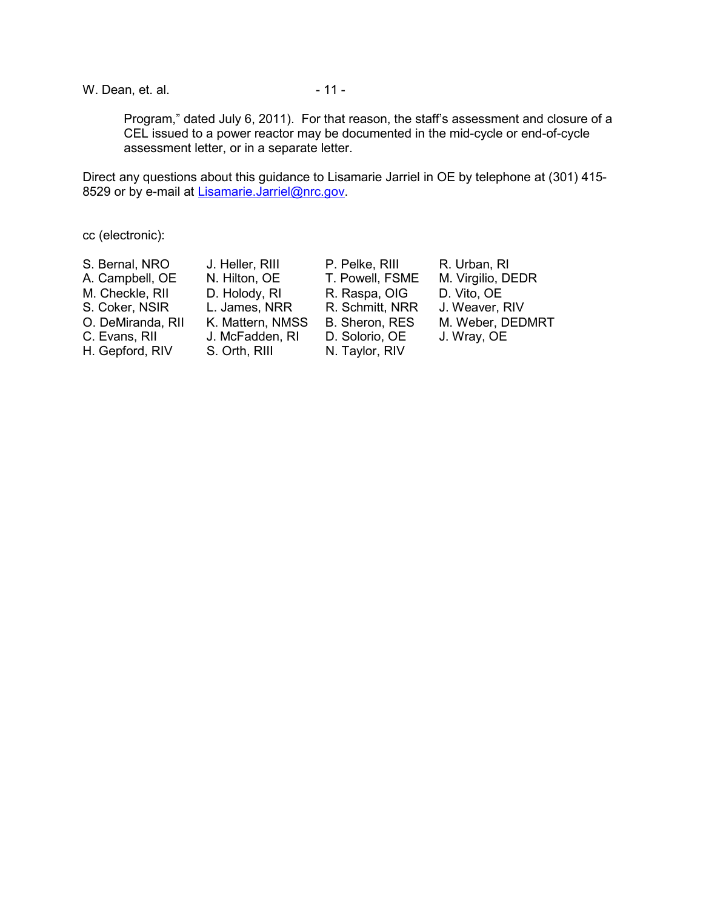W. Dean, et. al. 2008 - 11 - 2008 - 2014 - 2014 - 2014 - 2014 - 2014 - 2014 - 2014 - 2016 - 2016 - 2016 - 2016 - 2016 - 2016 - 2016 - 2016 - 2016 - 2016 - 2016 - 2016 - 2016 - 2016 - 2016 - 2016 - 2016 - 2016 - 2016 - 2016

Program," dated July 6, 2011). For that reason, the staff's assessment and closure of a CEL issued to a power reactor may be documented in the mid-cycle or end-of-cycle assessment letter, or in a separate letter.

Direct any questions about this guidance to Lisamarie Jarriel in OE by telephone at (301) 415- 8529 or by e-mail at Lisamarie.Jarriel@nrc.gov.

cc (electronic):

| S. Bernal, NRO    | J. Heller, RIII  | P. Pelke, RIII  | R. Urban, RI      |
|-------------------|------------------|-----------------|-------------------|
| A. Campbell, OE   | N. Hilton, OE    | T. Powell, FSME | M. Virgilio, DEDR |
| M. Checkle, RII   | D. Holody, RI    | R. Raspa, OIG   | D. Vito, OE       |
| S. Coker, NSIR    | L. James, NRR    | R. Schmitt, NRR | J. Weaver, RIV    |
| O. DeMiranda, RII | K. Mattern, NMSS | B. Sheron, RES  | M. Weber, DEDMRT  |
| C. Evans, RII     | J. McFadden, RI  | D. Solorio, OE  | J. Wray, OE       |
| H. Gepford, RIV   | S. Orth, RIII    | N. Taylor, RIV  |                   |